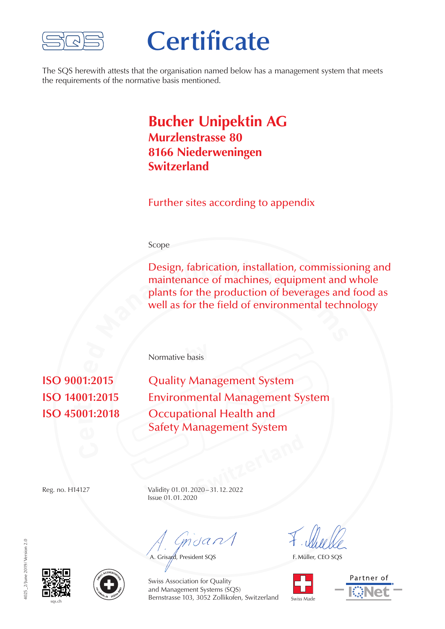

## **Certificate**

The SQS herewith attests that the organisation named below has a management system that meets the requirements of the normative basis mentioned.

## **Bucher Unipektin AG Murzlenstrasse 80 8166 Niederweningen Switzerland**

Further sites according to appendix

## Scope

Design, fabrication, installation, commissioning and maintenance of machines, equipment and whole plants for the production of beverages and food as well as for the field of environmental technology maintenance of machines, equipment and whole plants for the production of beverages and food as well as for the field of environmental technology

**by** Normative basis

**r** $\overline{\mathbf{r}}$ **i**  $\frac{1}{2}$  $\overline{01.201}$ 

**Quality Management System Environmental Management System Occupational Health and** Safety Management System

**Switzerland** Reg. no. H14127 Validity 01.01.2020–31.12.2022 Issue 01.01.2020

 $m$ dan $\sqrt{}$ 

A. Grisard, President SQS

F. Müller, CEO SQS









Swiss Association for Quality and Management Systems (SQS) Bernstrasse 103, 3052 Zollikofen, Switzerland